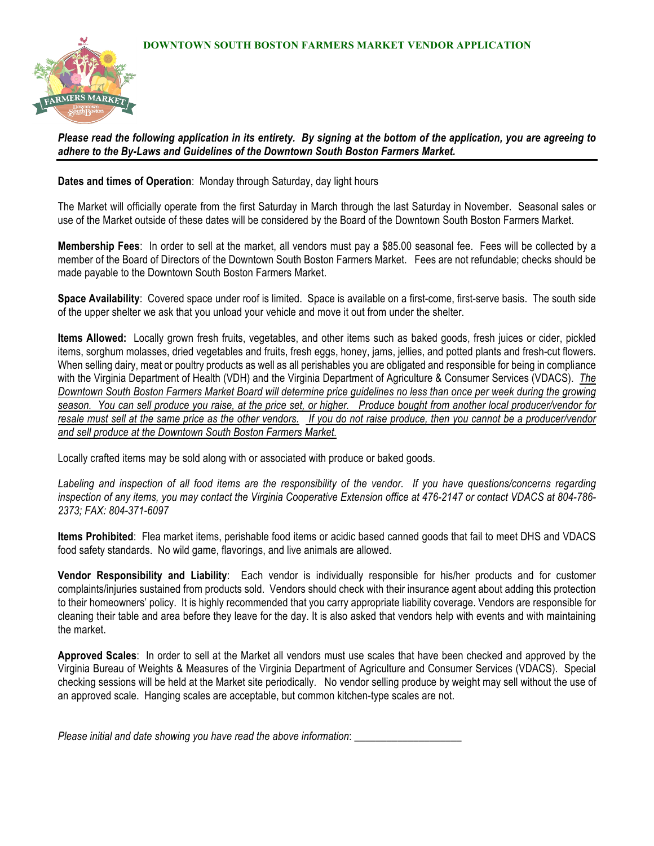

*Please read the following application in its entirety. By signing at the bottom of the application, you are agreeing to adhere to the By-Laws and Guidelines of the Downtown South Boston Farmers Market.*

**Dates and times of Operation**: Monday through Saturday, day light hours

The Market will officially operate from the first Saturday in March through the last Saturday in November. Seasonal sales or use of the Market outside of these dates will be considered by the Board of the Downtown South Boston Farmers Market.

**Membership Fees**: In order to sell at the market, all vendors must pay a \$85.00 seasonal fee. Fees will be collected by a member of the Board of Directors of the Downtown South Boston Farmers Market. Fees are not refundable; checks should be made payable to the Downtown South Boston Farmers Market.

**Space Availability**: Covered space under roof is limited. Space is available on a first-come, first-serve basis. The south side of the upper shelter we ask that you unload your vehicle and move it out from under the shelter.

**Items Allowed:** Locally grown fresh fruits, vegetables, and other items such as baked goods, fresh juices or cider, pickled items, sorghum molasses, dried vegetables and fruits, fresh eggs, honey, jams, jellies, and potted plants and fresh-cut flowers. When selling dairy, meat or poultry products as well as all perishables you are obligated and responsible for being in compliance with the Virginia Department of Health (VDH) and the Virginia Department of Agriculture & Consumer Services (VDACS). *The Downtown South Boston Farmers Market Board will determine price guidelines no less than once per week during the growing season. You can sell produce you raise, at the price set, or higher. Produce bought from another local producer/vendor for resale must sell at the same price as the other vendors. If you do not raise produce, then you cannot be a producer/vendor and sell produce at the Downtown South Boston Farmers Market.*

Locally crafted items may be sold along with or associated with produce or baked goods.

*Labeling and inspection of all food items are the responsibility of the vendor. If you have questions/concerns regarding inspection of any items, you may contact the Virginia Cooperative Extension office at 476-2147 or contact VDACS at 804-786- 2373; FAX: 804-371-6097* 

**Items Prohibited**: Flea market items, perishable food items or acidic based canned goods that fail to meet DHS and VDACS food safety standards. No wild game, flavorings, and live animals are allowed.

**Vendor Responsibility and Liability**: Each vendor is individually responsible for his/her products and for customer complaints/injuries sustained from products sold. Vendors should check with their insurance agent about adding this protection to their homeowners' policy. It is highly recommended that you carry appropriate liability coverage. Vendors are responsible for cleaning their table and area before they leave for the day. It is also asked that vendors help with events and with maintaining the market.

**Approved Scales**: In order to sell at the Market all vendors must use scales that have been checked and approved by the Virginia Bureau of Weights & Measures of the Virginia Department of Agriculture and Consumer Services (VDACS). Special checking sessions will be held at the Market site periodically. No vendor selling produce by weight may sell without the use of an approved scale. Hanging scales are acceptable, but common kitchen-type scales are not.

*Please initial and date showing you have read the above information*: \_\_\_\_\_\_\_\_\_\_\_\_\_\_\_\_\_\_\_\_